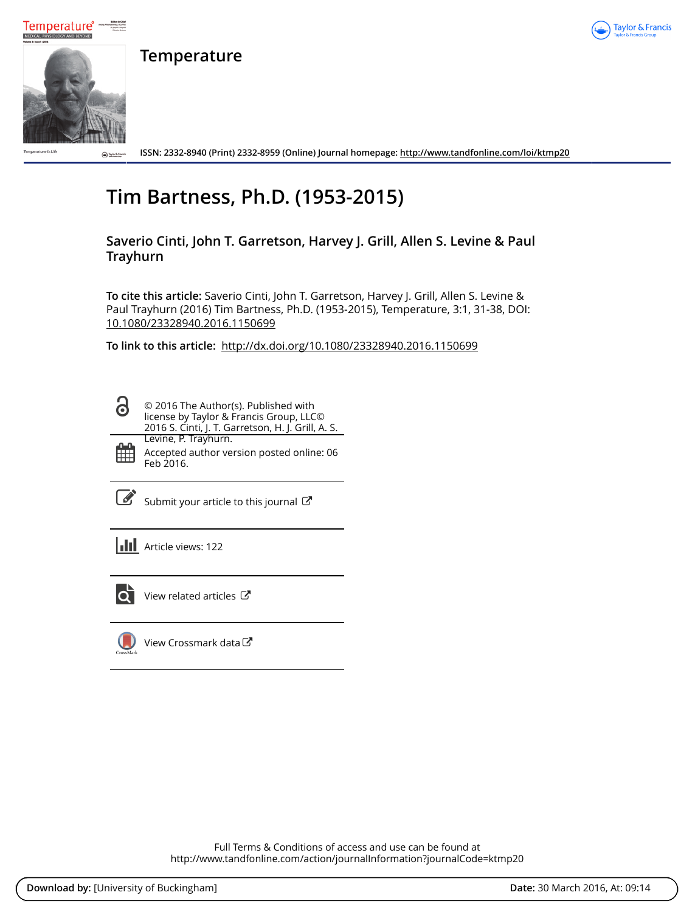



**ISSN: 2332-8940 (Print) 2332-8959 (Online) Journal homepage:<http://www.tandfonline.com/loi/ktmp20>**

# **Tim Bartness, Ph.D. (1953-2015)**

**Saverio Cinti, John T. Garretson, Harvey J. Grill, Allen S. Levine & Paul Trayhurn**

**To cite this article:** Saverio Cinti, John T. Garretson, Harvey J. Grill, Allen S. Levine & Paul Trayhurn (2016) Tim Bartness, Ph.D. (1953-2015), Temperature, 3:1, 31-38, DOI: [10.1080/23328940.2016.1150699](http://www.tandfonline.com/action/showCitFormats?doi=10.1080/23328940.2016.1150699)

**To link to this article:** <http://dx.doi.org/10.1080/23328940.2016.1150699>

© 2016 The Author(s). Published with license by Taylor & Francis Group, LLC© 2016 S. Cinti, J. T. Garretson, H. J. Grill, A. S. Levine, P. Trayhurn. 雦 Accepted author version posted online: 06 Feb 2016.

3

[Submit your article to this journal](http://www.tandfonline.com/action/authorSubmission?journalCode=ktmp20&page=instructions)  $\mathbb{Z}$ 

**III** Article views: 122



View related articles



[View Crossmark data](http://crossmark.crossref.org/dialog/?doi=10.1080/23328940.2016.1150699&domain=pdf&date_stamp=2016-02-06)

Full Terms & Conditions of access and use can be found at <http://www.tandfonline.com/action/journalInformation?journalCode=ktmp20>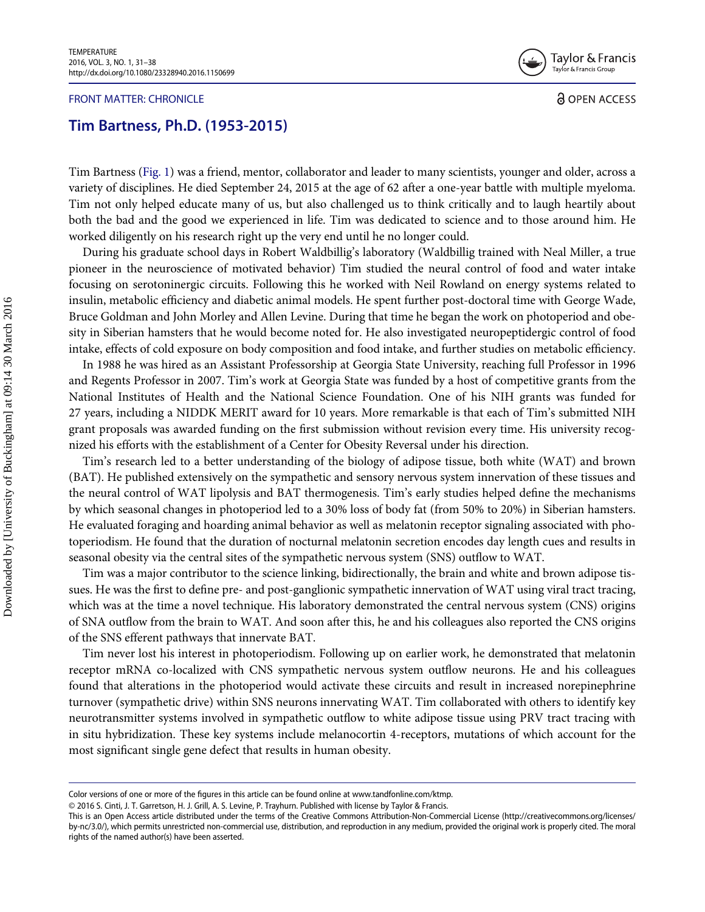#### FRONT MATTER: CHRONICLE



**a** OPEN ACCESS

# Tim Bartness, Ph.D. (1953-2015)

Tim Bartness ([Fig. 1\)](#page-2-0) was a friend, mentor, collaborator and leader to many scientists, younger and older, across a variety of disciplines. He died September 24, 2015 at the age of 62 after a one-year battle with multiple myeloma. Tim not only helped educate many of us, but also challenged us to think critically and to laugh heartily about both the bad and the good we experienced in life. Tim was dedicated to science and to those around him. He worked diligently on his research right up the very end until he no longer could.

During his graduate school days in Robert Waldbillig's laboratory (Waldbillig trained with Neal Miller, a true pioneer in the neuroscience of motivated behavior) Tim studied the neural control of food and water intake focusing on serotoninergic circuits. Following this he worked with Neil Rowland on energy systems related to insulin, metabolic efficiency and diabetic animal models. He spent further post-doctoral time with George Wade, Bruce Goldman and John Morley and Allen Levine. During that time he began the work on photoperiod and obesity in Siberian hamsters that he would become noted for. He also investigated neuropeptidergic control of food intake, effects of cold exposure on body composition and food intake, and further studies on metabolic efficiency.

In 1988 he was hired as an Assistant Professorship at Georgia State University, reaching full Professor in 1996 and Regents Professor in 2007. Tim's work at Georgia State was funded by a host of competitive grants from the National Institutes of Health and the National Science Foundation. One of his NIH grants was funded for 27 years, including a NIDDK MERIT award for 10 years. More remarkable is that each of Tim's submitted NIH grant proposals was awarded funding on the first submission without revision every time. His university recognized his efforts with the establishment of a Center for Obesity Reversal under his direction.

Tim's research led to a better understanding of the biology of adipose tissue, both white (WAT) and brown (BAT). He published extensively on the sympathetic and sensory nervous system innervation of these tissues and the neural control of WAT lipolysis and BAT thermogenesis. Tim's early studies helped define the mechanisms by which seasonal changes in photoperiod led to a 30% loss of body fat (from 50% to 20%) in Siberian hamsters. He evaluated foraging and hoarding animal behavior as well as melatonin receptor signaling associated with photoperiodism. He found that the duration of nocturnal melatonin secretion encodes day length cues and results in seasonal obesity via the central sites of the sympathetic nervous system (SNS) outflow to WAT.

Tim was a major contributor to the science linking, bidirectionally, the brain and white and brown adipose tissues. He was the first to define pre- and post-ganglionic sympathetic innervation of WAT using viral tract tracing, which was at the time a novel technique. His laboratory demonstrated the central nervous system (CNS) origins of SNA outflow from the brain to WAT. And soon after this, he and his colleagues also reported the CNS origins of the SNS efferent pathways that innervate BAT.

Tim never lost his interest in photoperiodism. Following up on earlier work, he demonstrated that melatonin receptor mRNA co-localized with CNS sympathetic nervous system outflow neurons. He and his colleagues found that alterations in the photoperiod would activate these circuits and result in increased norepinephrine turnover (sympathetic drive) within SNS neurons innervating WAT. Tim collaborated with others to identify key neurotransmitter systems involved in sympathetic outflow to white adipose tissue using PRV tract tracing with in situ hybridization. These key systems include melanocortin 4-receptors, mutations of which account for the most significant single gene defect that results in human obesity.

Color versions of one or more of the figures in this article can be found online at www.tandfonline.com/ktmp.

<sup>© 2016</sup> S. Cinti, J. T. Garretson, H. J. Grill, A. S. Levine, P. Trayhurn. Published with license by Taylor & Francis.

This is an Open Access article distributed under the terms of the Creative Commons Attribution-Non-Commercial License (http://creativecommons.org/licenses/ by-nc/3.0/), which permits unrestricted non-commercial use, distribution, and reproduction in any medium, provided the original work is properly cited. The moral rights of the named author(s) have been asserted.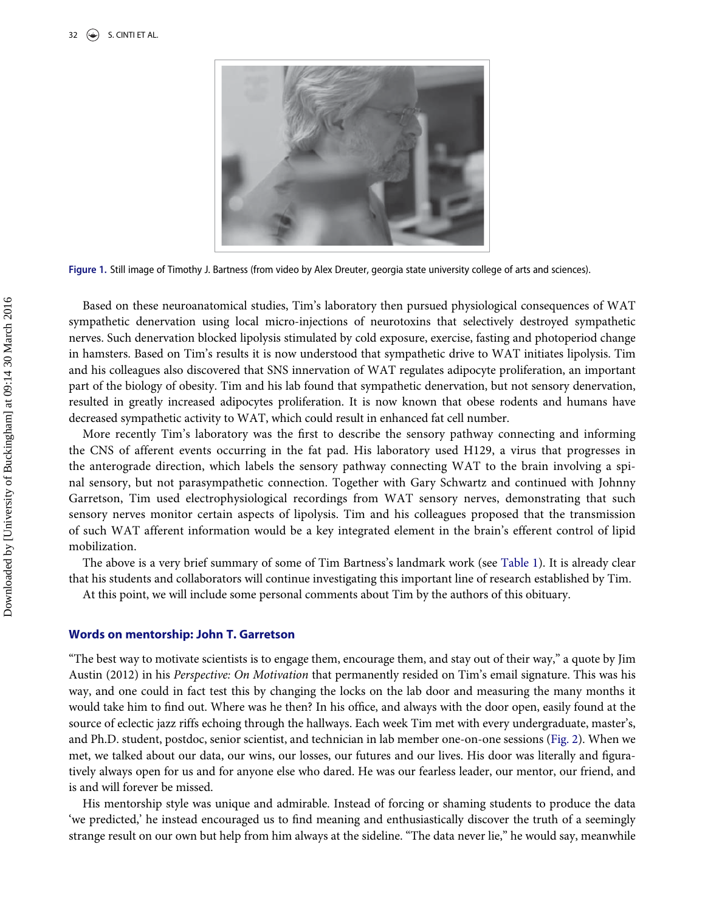<span id="page-2-0"></span>

Figure 1. Still image of Timothy J. Bartness (from video by Alex Dreuter, georgia state university college of arts and sciences).

Based on these neuroanatomical studies, Tim's laboratory then pursued physiological consequences of WAT sympathetic denervation using local micro-injections of neurotoxins that selectively destroyed sympathetic nerves. Such denervation blocked lipolysis stimulated by cold exposure, exercise, fasting and photoperiod change in hamsters. Based on Tim's results it is now understood that sympathetic drive to WAT initiates lipolysis. Tim and his colleagues also discovered that SNS innervation of WAT regulates adipocyte proliferation, an important part of the biology of obesity. Tim and his lab found that sympathetic denervation, but not sensory denervation, resulted in greatly increased adipocytes proliferation. It is now known that obese rodents and humans have decreased sympathetic activity to WAT, which could result in enhanced fat cell number.

More recently Tim's laboratory was the first to describe the sensory pathway connecting and informing the CNS of afferent events occurring in the fat pad. His laboratory used H129, a virus that progresses in the anterograde direction, which labels the sensory pathway connecting WAT to the brain involving a spinal sensory, but not parasympathetic connection. Together with Gary Schwartz and continued with Johnny Garretson, Tim used electrophysiological recordings from WAT sensory nerves, demonstrating that such sensory nerves monitor certain aspects of lipolysis. Tim and his colleagues proposed that the transmission of such WAT afferent information would be a key integrated element in the brain's efferent control of lipid mobilization.

The above is a very brief summary of some of Tim Bartness's landmark work (see [Table 1\)](#page-3-0). It is already clear that his students and collaborators will continue investigating this important line of research established by Tim.

At this point, we will include some personal comments about Tim by the authors of this obituary.

#### Words on mentorship: John T. Garretson

"The best way to motivate scientists is to engage them, encourage them, and stay out of their way," a quote by Jim Austin (2012) in his Perspective: On Motivation that permanently resided on Tim's email signature. This was his way, and one could in fact test this by changing the locks on the lab door and measuring the many months it would take him to find out. Where was he then? In his office, and always with the door open, easily found at the source of eclectic jazz riffs echoing through the hallways. Each week Tim met with every undergraduate, master's, and Ph.D. student, postdoc, senior scientist, and technician in lab member one-on-one sessions [\(Fig. 2](#page-4-0)). When we met, we talked about our data, our wins, our losses, our futures and our lives. His door was literally and figuratively always open for us and for anyone else who dared. He was our fearless leader, our mentor, our friend, and is and will forever be missed.

His mentorship style was unique and admirable. Instead of forcing or shaming students to produce the data 'we predicted,' he instead encouraged us to find meaning and enthusiastically discover the truth of a seemingly strange result on our own but help from him always at the sideline. "The data never lie," he would say, meanwhile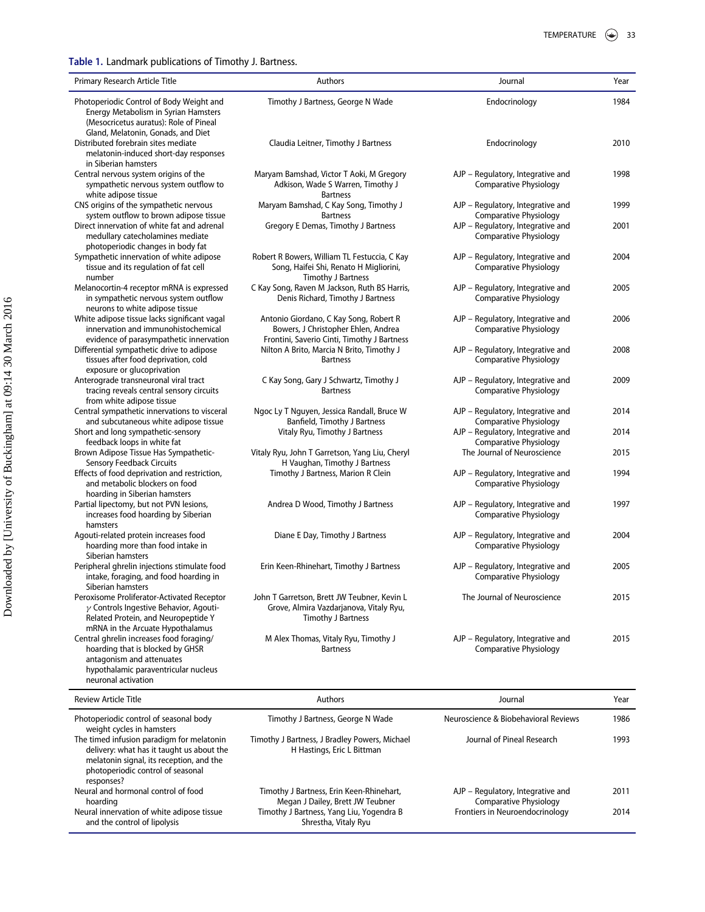<span id="page-3-0"></span>Table 1. Landmark publications of Timothy J. Bartness.

| Primary Research Article Title                                                                                                                                                                                     | Authors                                                                                                                      | Journal                                                            | Year |
|--------------------------------------------------------------------------------------------------------------------------------------------------------------------------------------------------------------------|------------------------------------------------------------------------------------------------------------------------------|--------------------------------------------------------------------|------|
| Photoperiodic Control of Body Weight and<br>Energy Metabolism in Syrian Hamsters<br>(Mesocricetus auratus): Role of Pineal                                                                                         | Timothy J Bartness, George N Wade                                                                                            | Endocrinology                                                      | 1984 |
| Gland, Melatonin, Gonads, and Diet<br>Distributed forebrain sites mediate<br>melatonin-induced short-day responses<br>in Siberian hamsters                                                                         | Claudia Leitner, Timothy J Bartness                                                                                          | Endocrinology                                                      | 2010 |
| Central nervous system origins of the<br>sympathetic nervous system outflow to<br>white adipose tissue                                                                                                             | Maryam Bamshad, Victor T Aoki, M Gregory<br>Adkison, Wade S Warren, Timothy J<br><b>Bartness</b>                             | AJP – Regulatory, Integrative and<br><b>Comparative Physiology</b> | 1998 |
| CNS origins of the sympathetic nervous<br>system outflow to brown adipose tissue                                                                                                                                   | Maryam Bamshad, C Kay Song, Timothy J<br><b>Bartness</b>                                                                     | AJP - Regulatory, Integrative and<br><b>Comparative Physiology</b> | 1999 |
| Direct innervation of white fat and adrenal<br>medullary catecholamines mediate<br>photoperiodic changes in body fat                                                                                               | Gregory E Demas, Timothy J Bartness                                                                                          | AJP - Regulatory, Integrative and<br><b>Comparative Physiology</b> | 2001 |
| Sympathetic innervation of white adipose<br>tissue and its regulation of fat cell<br>number                                                                                                                        | Robert R Bowers, William TL Festuccia, C Kay<br>Song, Haifei Shi, Renato H Migliorini,<br><b>Timothy J Bartness</b>          | AJP - Regulatory, Integrative and<br><b>Comparative Physiology</b> | 2004 |
| Melanocortin-4 receptor mRNA is expressed<br>in sympathetic nervous system outflow<br>neurons to white adipose tissue                                                                                              | C Kay Song, Raven M Jackson, Ruth BS Harris,<br>Denis Richard, Timothy J Bartness                                            | AJP - Regulatory, Integrative and<br><b>Comparative Physiology</b> | 2005 |
| White adipose tissue lacks significant vagal<br>innervation and immunohistochemical<br>evidence of parasympathetic innervation                                                                                     | Antonio Giordano, C Kay Song, Robert R<br>Bowers, J Christopher Ehlen, Andrea<br>Frontini, Saverio Cinti, Timothy J Bartness | AJP - Regulatory, Integrative and<br><b>Comparative Physiology</b> | 2006 |
| Differential sympathetic drive to adipose<br>tissues after food deprivation, cold<br>exposure or glucoprivation                                                                                                    | Nilton A Brito, Marcia N Brito, Timothy J<br><b>Bartness</b>                                                                 | AJP - Regulatory, Integrative and<br><b>Comparative Physiology</b> | 2008 |
| Anterograde transneuronal viral tract<br>tracing reveals central sensory circuits<br>from white adipose tissue                                                                                                     | C Kay Song, Gary J Schwartz, Timothy J<br><b>Bartness</b>                                                                    | AJP - Regulatory, Integrative and<br><b>Comparative Physiology</b> | 2009 |
| Central sympathetic innervations to visceral<br>and subcutaneous white adipose tissue                                                                                                                              | Ngoc Ly T Nguyen, Jessica Randall, Bruce W<br>Banfield, Timothy J Bartness                                                   | AJP - Regulatory, Integrative and<br><b>Comparative Physiology</b> | 2014 |
| Short and long sympathetic-sensory<br>feedback loops in white fat                                                                                                                                                  | Vitaly Ryu, Timothy J Bartness                                                                                               | AJP - Regulatory, Integrative and<br><b>Comparative Physiology</b> | 2014 |
| Brown Adipose Tissue Has Sympathetic-<br>Sensory Feedback Circuits                                                                                                                                                 | Vitaly Ryu, John T Garretson, Yang Liu, Cheryl<br>H Vaughan, Timothy J Bartness                                              | The Journal of Neuroscience                                        | 2015 |
| Effects of food deprivation and restriction,<br>and metabolic blockers on food<br>hoarding in Siberian hamsters                                                                                                    | Timothy J Bartness, Marion R Clein                                                                                           | AJP - Regulatory, Integrative and<br><b>Comparative Physiology</b> | 1994 |
| Partial lipectomy, but not PVN lesions,<br>increases food hoarding by Siberian<br>hamsters                                                                                                                         | Andrea D Wood, Timothy J Bartness                                                                                            | AJP - Regulatory, Integrative and<br><b>Comparative Physiology</b> | 1997 |
| Agouti-related protein increases food<br>hoarding more than food intake in<br>Siberian hamsters                                                                                                                    | Diane E Day, Timothy J Bartness                                                                                              | AJP - Regulatory, Integrative and<br><b>Comparative Physiology</b> | 2004 |
| Peripheral ghrelin injections stimulate food<br>intake, foraging, and food hoarding in<br>Siberian hamsters                                                                                                        | Erin Keen-Rhinehart, Timothy J Bartness                                                                                      | AJP - Regulatory, Integrative and<br><b>Comparative Physiology</b> | 2005 |
| Peroxisome Proliferator-Activated Receptor<br>$\gamma$ Controls Ingestive Behavior, Agouti-<br>Related Protein, and Neuropeptide Y<br>mRNA in the Arcuate Hypothalamus                                             | John T Garretson, Brett JW Teubner, Kevin L<br>Grove, Almira Vazdarjanova, Vitaly Ryu,<br>Timothy J Bartness                 | The Journal of Neuroscience                                        | 2015 |
| Central ghrelin increases food foraging/<br>hoarding that is blocked by GHSR<br>antagonism and attenuates<br>hypothalamic paraventricular nucleus<br>neuronal activation                                           | M Alex Thomas, Vitaly Ryu, Timothy J<br><b>Bartness</b>                                                                      | AJP - Regulatory, Integrative and<br><b>Comparative Physiology</b> | 2015 |
| <b>Review Article Title</b>                                                                                                                                                                                        | Authors                                                                                                                      | Journal                                                            | Year |
| Photoperiodic control of seasonal body                                                                                                                                                                             | Timothy J Bartness, George N Wade                                                                                            | Neuroscience & Biobehavioral Reviews                               | 1986 |
| weight cycles in hamsters<br>The timed infusion paradigm for melatonin<br>delivery: what has it taught us about the<br>melatonin signal, its reception, and the<br>photoperiodic control of seasonal<br>responses? | Timothy J Bartness, J Bradley Powers, Michael<br>H Hastings, Eric L Bittman                                                  | Journal of Pineal Research                                         | 1993 |
| Neural and hormonal control of food<br>hoarding                                                                                                                                                                    | Timothy J Bartness, Erin Keen-Rhinehart,<br>Megan J Dailey, Brett JW Teubner                                                 | AJP - Regulatory, Integrative and<br><b>Comparative Physiology</b> | 2011 |
| Neural innervation of white adipose tissue                                                                                                                                                                         | Timothy J Bartness, Yang Liu, Yogendra B                                                                                     | Frontiers in Neuroendocrinology                                    | 2014 |

Shrestha, Vitaly Ryu

Downloaded by [University of Buckingham] at 09:14 30 March 2016 Downloaded by [University of Buckingham] at 09:14 30 March 2016

and the control of lipolysis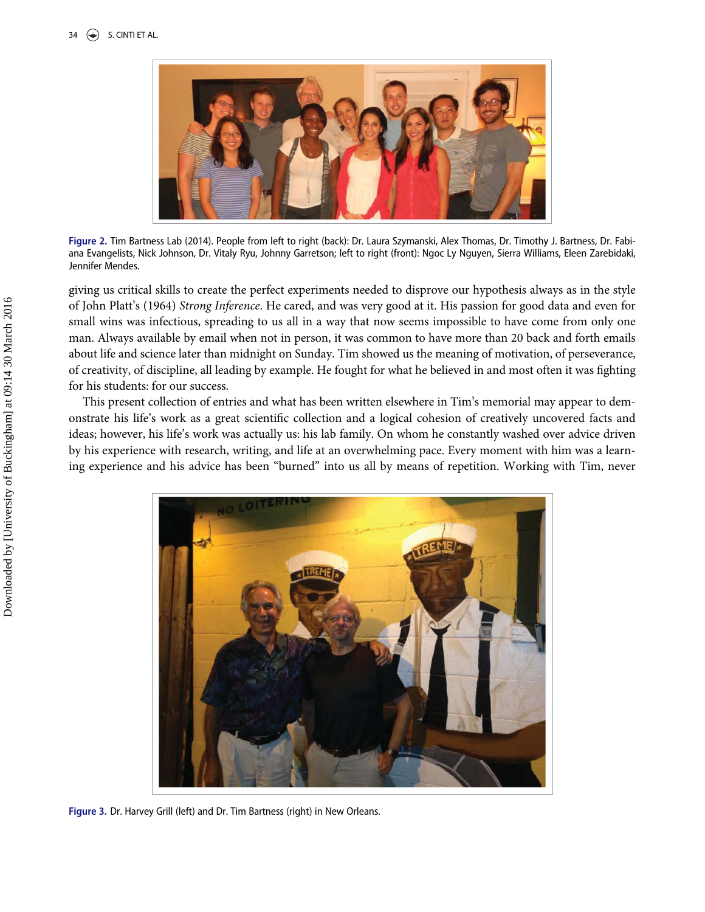<span id="page-4-0"></span>

Figure 2. Tim Bartness Lab (2014). People from left to right (back): Dr. Laura Szymanski, Alex Thomas, Dr. Timothy J. Bartness, Dr. Fabiana Evangelists, Nick Johnson, Dr. Vitaly Ryu, Johnny Garretson; left to right (front): Ngoc Ly Nguyen, Sierra Williams, Eleen Zarebidaki, Jennifer Mendes.

giving us critical skills to create the perfect experiments needed to disprove our hypothesis always as in the style of John Platt's (1964) Strong Inference. He cared, and was very good at it. His passion for good data and even for small wins was infectious, spreading to us all in a way that now seems impossible to have come from only one man. Always available by email when not in person, it was common to have more than 20 back and forth emails about life and science later than midnight on Sunday. Tim showed us the meaning of motivation, of perseverance, of creativity, of discipline, all leading by example. He fought for what he believed in and most often it was fighting for his students: for our success.

This present collection of entries and what has been written elsewhere in Tim's memorial may appear to demonstrate his life's work as a great scientific collection and a logical cohesion of creatively uncovered facts and ideas; however, his life's work was actually us: his lab family. On whom he constantly washed over advice driven by his experience with research, writing, and life at an overwhelming pace. Every moment with him was a learning experience and his advice has been "burned" into us all by means of repetition. Working with Tim, never

<span id="page-4-1"></span>

Figure 3. Dr. Harvey Grill (left) and Dr. Tim Bartness (right) in New Orleans.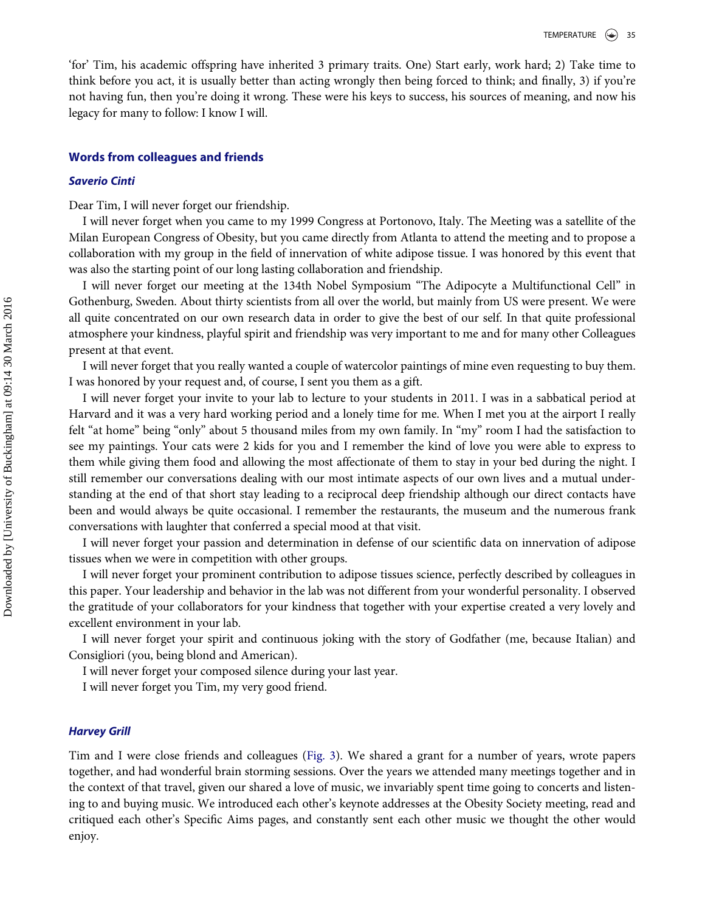'for' Tim, his academic offspring have inherited 3 primary traits. One) Start early, work hard; 2) Take time to think before you act, it is usually better than acting wrongly then being forced to think; and finally, 3) if you're not having fun, then you're doing it wrong. These were his keys to success, his sources of meaning, and now his legacy for many to follow: I know I will.

### Words from colleagues and friends

#### Saverio Cinti

Dear Tim, I will never forget our friendship.

I will never forget when you came to my 1999 Congress at Portonovo, Italy. The Meeting was a satellite of the Milan European Congress of Obesity, but you came directly from Atlanta to attend the meeting and to propose a collaboration with my group in the field of innervation of white adipose tissue. I was honored by this event that was also the starting point of our long lasting collaboration and friendship.

I will never forget our meeting at the 134th Nobel Symposium "The Adipocyte a Multifunctional Cell" in Gothenburg, Sweden. About thirty scientists from all over the world, but mainly from US were present. We were all quite concentrated on our own research data in order to give the best of our self. In that quite professional atmosphere your kindness, playful spirit and friendship was very important to me and for many other Colleagues present at that event.

I will never forget that you really wanted a couple of watercolor paintings of mine even requesting to buy them. I was honored by your request and, of course, I sent you them as a gift.

I will never forget your invite to your lab to lecture to your students in 2011. I was in a sabbatical period at Harvard and it was a very hard working period and a lonely time for me. When I met you at the airport I really felt "at home" being "only" about 5 thousand miles from my own family. In "my" room I had the satisfaction to see my paintings. Your cats were 2 kids for you and I remember the kind of love you were able to express to them while giving them food and allowing the most affectionate of them to stay in your bed during the night. I still remember our conversations dealing with our most intimate aspects of our own lives and a mutual understanding at the end of that short stay leading to a reciprocal deep friendship although our direct contacts have been and would always be quite occasional. I remember the restaurants, the museum and the numerous frank conversations with laughter that conferred a special mood at that visit.

I will never forget your passion and determination in defense of our scientific data on innervation of adipose tissues when we were in competition with other groups.

I will never forget your prominent contribution to adipose tissues science, perfectly described by colleagues in this paper. Your leadership and behavior in the lab was not different from your wonderful personality. I observed the gratitude of your collaborators for your kindness that together with your expertise created a very lovely and excellent environment in your lab.

I will never forget your spirit and continuous joking with the story of Godfather (me, because Italian) and Consigliori (you, being blond and American).

I will never forget your composed silence during your last year.

I will never forget you Tim, my very good friend.

#### Harvey Grill

Tim and I were close friends and colleagues [\(Fig. 3\)](#page-4-1). We shared a grant for a number of years, wrote papers together, and had wonderful brain storming sessions. Over the years we attended many meetings together and in the context of that travel, given our shared a love of music, we invariably spent time going to concerts and listening to and buying music. We introduced each other's keynote addresses at the Obesity Society meeting, read and critiqued each other's Specific Aims pages, and constantly sent each other music we thought the other would enjoy.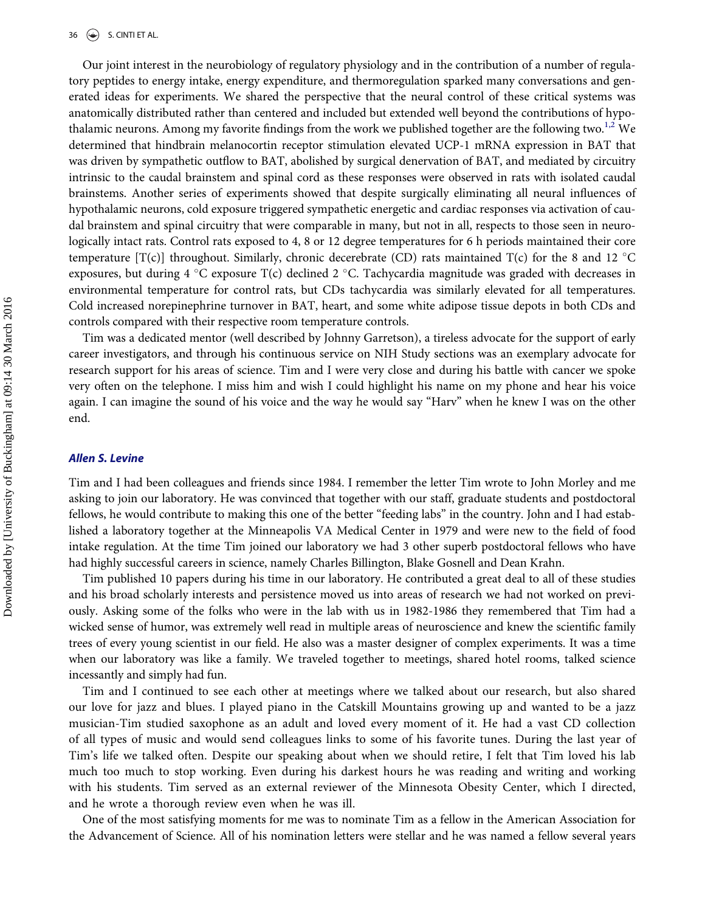Our joint interest in the neurobiology of regulatory physiology and in the contribution of a number of regulatory peptides to energy intake, energy expenditure, and thermoregulation sparked many conversations and generated ideas for experiments. We shared the perspective that the neural control of these critical systems was anatomically distributed rather than centered and included but extended well beyond the contributions of hypo-thalamic neurons. Among my favorite findings from the work we published together are the following two.<sup>[1,2](#page-8-0)</sup> We determined that hindbrain melanocortin receptor stimulation elevated UCP-1 mRNA expression in BAT that was driven by sympathetic outflow to BAT, abolished by surgical denervation of BAT, and mediated by circuitry intrinsic to the caudal brainstem and spinal cord as these responses were observed in rats with isolated caudal brainstems. Another series of experiments showed that despite surgically eliminating all neural influences of hypothalamic neurons, cold exposure triggered sympathetic energetic and cardiac responses via activation of caudal brainstem and spinal circuitry that were comparable in many, but not in all, respects to those seen in neurologically intact rats. Control rats exposed to 4, 8 or 12 degree temperatures for 6 h periods maintained their core temperature  $[T(c)]$  throughout. Similarly, chronic decerebrate (CD) rats maintained  $T(c)$  for the 8 and 12 °C exposures, but during 4 °C exposure T(c) declined 2 °C. Tachycardia magnitude was graded with decreases in environmental temperature for control rats, but CDs tachycardia was similarly elevated for all temperatures. Cold increased norepinephrine turnover in BAT, heart, and some white adipose tissue depots in both CDs and controls compared with their respective room temperature controls.

Tim was a dedicated mentor (well described by Johnny Garretson), a tireless advocate for the support of early career investigators, and through his continuous service on NIH Study sections was an exemplary advocate for research support for his areas of science. Tim and I were very close and during his battle with cancer we spoke very often on the telephone. I miss him and wish I could highlight his name on my phone and hear his voice again. I can imagine the sound of his voice and the way he would say "Harv" when he knew I was on the other end.

## Allen S. Levine

Tim and I had been colleagues and friends since 1984. I remember the letter Tim wrote to John Morley and me asking to join our laboratory. He was convinced that together with our staff, graduate students and postdoctoral fellows, he would contribute to making this one of the better "feeding labs" in the country. John and I had established a laboratory together at the Minneapolis VA Medical Center in 1979 and were new to the field of food intake regulation. At the time Tim joined our laboratory we had 3 other superb postdoctoral fellows who have had highly successful careers in science, namely Charles Billington, Blake Gosnell and Dean Krahn.

Tim published 10 papers during his time in our laboratory. He contributed a great deal to all of these studies and his broad scholarly interests and persistence moved us into areas of research we had not worked on previously. Asking some of the folks who were in the lab with us in 1982-1986 they remembered that Tim had a wicked sense of humor, was extremely well read in multiple areas of neuroscience and knew the scientific family trees of every young scientist in our field. He also was a master designer of complex experiments. It was a time when our laboratory was like a family. We traveled together to meetings, shared hotel rooms, talked science incessantly and simply had fun.

Tim and I continued to see each other at meetings where we talked about our research, but also shared our love for jazz and blues. I played piano in the Catskill Mountains growing up and wanted to be a jazz musician-Tim studied saxophone as an adult and loved every moment of it. He had a vast CD collection of all types of music and would send colleagues links to some of his favorite tunes. During the last year of Tim's life we talked often. Despite our speaking about when we should retire, I felt that Tim loved his lab much too much to stop working. Even during his darkest hours he was reading and writing and working with his students. Tim served as an external reviewer of the Minnesota Obesity Center, which I directed, and he wrote a thorough review even when he was ill.

One of the most satisfying moments for me was to nominate Tim as a fellow in the American Association for the Advancement of Science. All of his nomination letters were stellar and he was named a fellow several years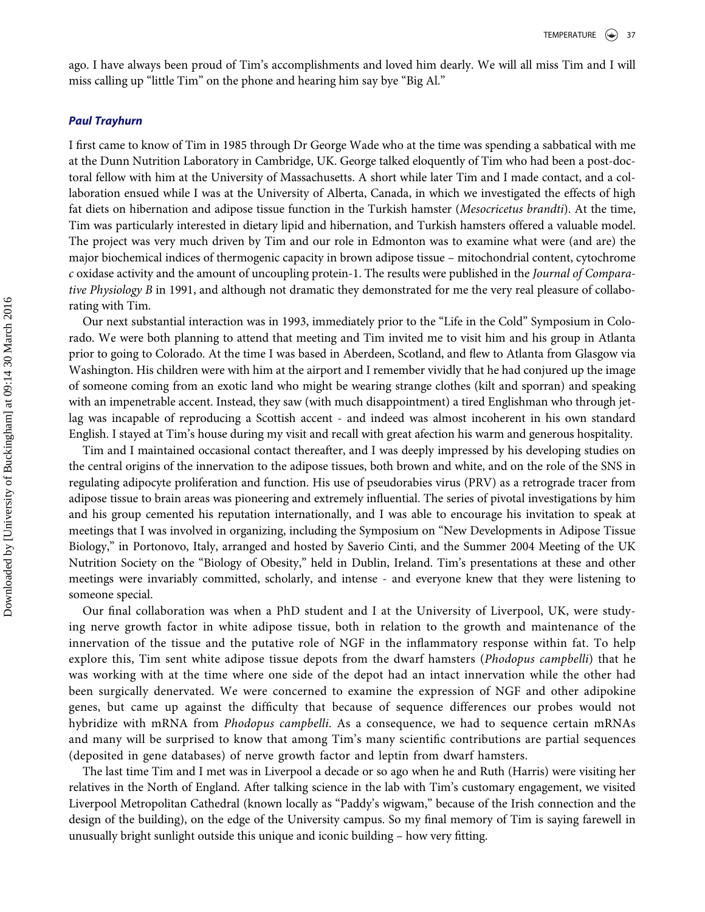ago. I have always been proud of Tim's accomplishments and loved him dearly. We will all miss Tim and I will miss calling up "little Tim" on the phone and hearing him say bye "Big Al."

#### Paul Trayhurn

I first came to know of Tim in 1985 through Dr George Wade who at the time was spending a sabbatical with me at the Dunn Nutrition Laboratory in Cambridge, UK. George talked eloquently of Tim who had been a post-doctoral fellow with him at the University of Massachusetts. A short while later Tim and I made contact, and a collaboration ensued while I was at the University of Alberta, Canada, in which we investigated the effects of high fat diets on hibernation and adipose tissue function in the Turkish hamster (Mesocricetus brandti). At the time, Tim was particularly interested in dietary lipid and hibernation, and Turkish hamsters offered a valuable model. The project was very much driven by Tim and our role in Edmonton was to examine what were (and are) the major biochemical indices of thermogenic capacity in brown adipose tissue – mitochondrial content, cytochrome c oxidase activity and the amount of uncoupling protein-1. The results were published in the Journal of Comparative Physiology B in 1991, and although not dramatic they demonstrated for me the very real pleasure of collaborating with Tim.

Our next substantial interaction was in 1993, immediately prior to the "Life in the Cold" Symposium in Colorado. We were both planning to attend that meeting and Tim invited me to visit him and his group in Atlanta prior to going to Colorado. At the time I was based in Aberdeen, Scotland, and flew to Atlanta from Glasgow via Washington. His children were with him at the airport and I remember vividly that he had conjured up the image of someone coming from an exotic land who might be wearing strange clothes (kilt and sporran) and speaking with an impenetrable accent. Instead, they saw (with much disappointment) a tired Englishman who through jetlag was incapable of reproducing a Scottish accent - and indeed was almost incoherent in his own standard English. I stayed at Tim's house during my visit and recall with great afection his warm and generous hospitality.

Tim and I maintained occasional contact thereafter, and I was deeply impressed by his developing studies on the central origins of the innervation to the adipose tissues, both brown and white, and on the role of the SNS in regulating adipocyte proliferation and function. His use of pseudorabies virus (PRV) as a retrograde tracer from adipose tissue to brain areas was pioneering and extremely influential. The series of pivotal investigations by him and his group cemented his reputation internationally, and I was able to encourage his invitation to speak at meetings that I was involved in organizing, including the Symposium on "New Developments in Adipose Tissue Biology," in Portonovo, Italy, arranged and hosted by Saverio Cinti, and the Summer 2004 Meeting of the UK Nutrition Society on the "Biology of Obesity," held in Dublin, Ireland. Tim's presentations at these and other meetings were invariably committed, scholarly, and intense - and everyone knew that they were listening to someone special.

Our final collaboration was when a PhD student and I at the University of Liverpool, UK, were studying nerve growth factor in white adipose tissue, both in relation to the growth and maintenance of the innervation of the tissue and the putative role of NGF in the inflammatory response within fat. To help explore this, Tim sent white adipose tissue depots from the dwarf hamsters (*Phodopus campbelli*) that he was working with at the time where one side of the depot had an intact innervation while the other had been surgically denervated. We were concerned to examine the expression of NGF and other adipokine genes, but came up against the difficulty that because of sequence differences our probes would not hybridize with mRNA from *Phodopus campbelli*. As a consequence, we had to sequence certain mRNAs and many will be surprised to know that among Tim's many scientific contributions are partial sequences (deposited in gene databases) of nerve growth factor and leptin from dwarf hamsters.

The last time Tim and I met was in Liverpool a decade or so ago when he and Ruth (Harris) were visiting her relatives in the North of England. After talking science in the lab with Tim's customary engagement, we visited Liverpool Metropolitan Cathedral (known locally as "Paddy's wigwam," because of the Irish connection and the design of the building), on the edge of the University campus. So my final memory of Tim is saying farewell in unusually bright sunlight outside this unique and iconic building – how very fitting.